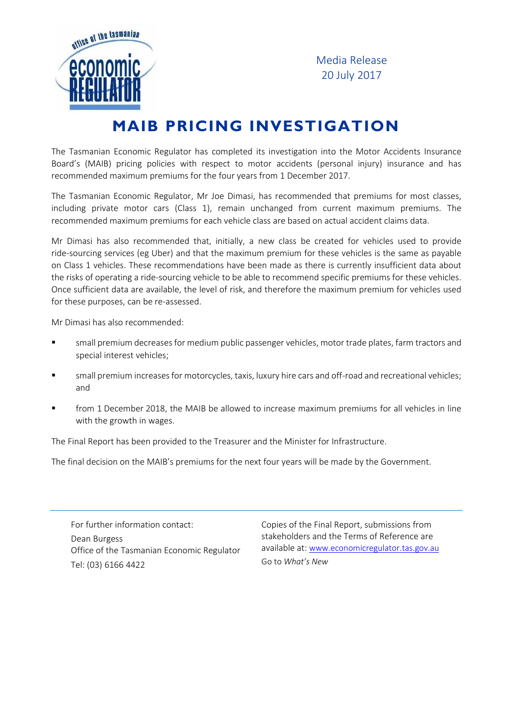

Media Release 20 July 2017

## **MAIB PRICING INVESTIGATION**

The Tasmanian Economic Regulator has completed its investigation into the Motor Accidents Insurance Board's (MAIB) pricing policies with respect to motor accidents (personal injury) insurance and has recommended maximum premiums for the four years from 1 December 2017.

The Tasmanian Economic Regulator, Mr Joe Dimasi, has recommended that premiums for most classes, including private motor cars (Class 1), remain unchanged from current maximum premiums. The recommended maximum premiums for each vehicle class are based on actual accident claims data.

Mr Dimasi has also recommended that, initially, a new class be created for vehicles used to provide ride-sourcing services (eg Uber) and that the maximum premium for these vehicles is the same as payable on Class 1 vehicles. These recommendations have been made as there is currently insufficient data about the risks of operating a ride-sourcing vehicle to be able to recommend specific premiums for these vehicles. Once sufficient data are available, the level of risk, and therefore the maximum premium for vehicles used for these purposes, can be re-assessed.

Mr Dimasi has also recommended:

- small premium decreases for medium public passenger vehicles, motor trade plates, farm tractors and special interest vehicles;
- small premium increases for motorcycles, taxis, luxury hire cars and off-road and recreational vehicles; and
- **Face 1** from 1 December 2018, the MAIB be allowed to increase maximum premiums for all vehicles in line with the growth in wages.

The Final Report has been provided to the Treasurer and the Minister for Infrastructure.

The final decision on the MAIB's premiums for the next four years will be made by the Government.

For further information contact: Dean Burgess Office of the Tasmanian Economic Regulator Tel: (03) 6166 4422

Copies of the Final Report, submissions from stakeholders and the Terms of Reference are available at: [www.economicregulator.tas.gov.au](http://www.economicregulator.tas.gov.au/) Go to *What's New*